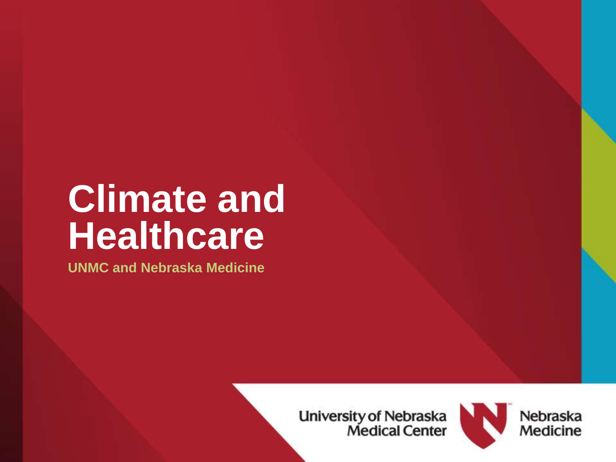## **Climate and Healthcare**

**UNMC and Nebraska Medicine**

**University of Nebraska<br>Medical Center** 



Nebraska Medicine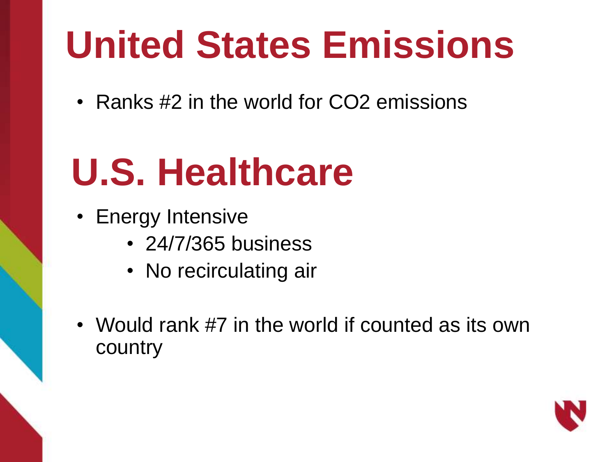# **United States Emissions**

• Ranks #2 in the world for CO2 emissions

# **U.S. Healthcare**

- Energy Intensive
	- 24/7/365 business
	- No recirculating air
- Would rank #7 in the world if counted as its own country

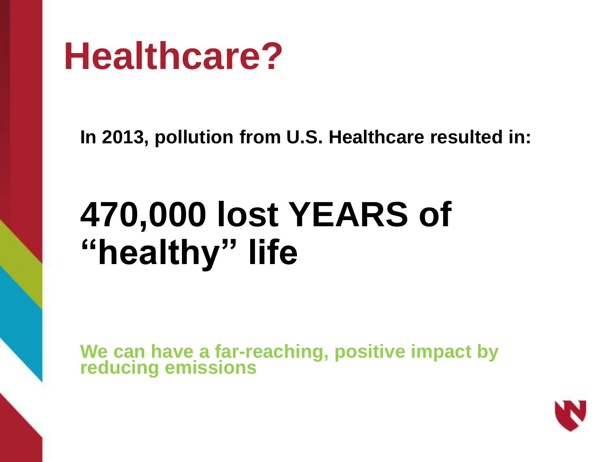

**In 2013, pollution from U.S. Healthcare resulted in:**

## **470,000 lost YEARS of "healthy" life**

**We can have a far-reaching, positive impact by reducing emissions**

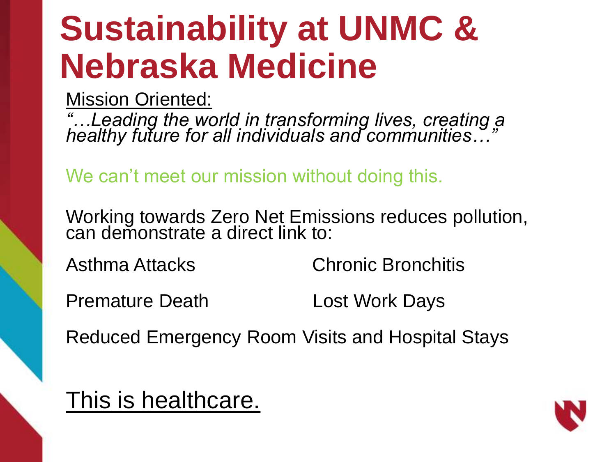## **Sustainability at UNMC & Nebraska Medicine**

Mission Oriented:

*"…Leading the world in transforming lives, creating a healthy future for all individuals and communities…"*

We can't meet our mission without doing this.

Working towards Zero Net Emissions reduces pollution, can demonstrate a direct link to:

Asthma Attacks Chronic Bronchitis

Premature Death Lost Work Days

Reduced Emergency Room Visits and Hospital Stays

This is healthcare.

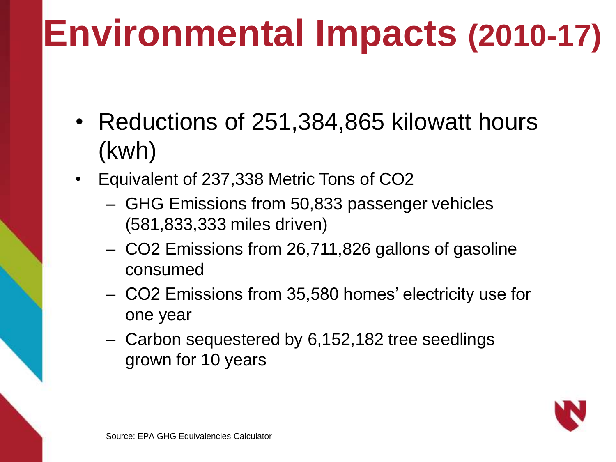## **Environmental Impacts (2010-17)**

- Reductions of 251,384,865 kilowatt hours (kwh)
- Equivalent of 237,338 Metric Tons of CO2
	- GHG Emissions from 50,833 passenger vehicles (581,833,333 miles driven)
	- CO2 Emissions from 26,711,826 gallons of gasoline consumed
	- CO2 Emissions from 35,580 homes' electricity use for one year
	- Carbon sequestered by 6,152,182 tree seedlings grown for 10 years

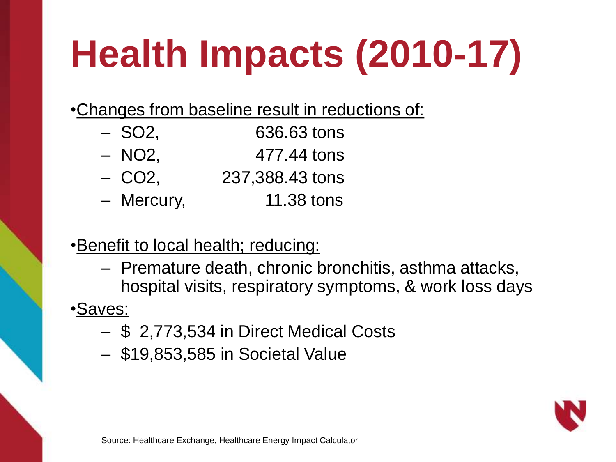# **Health Impacts (2010-17)**

•Changes from baseline result in reductions of:

- SO2, 636.63 tons
- $-$  NO2,  $477.44$  tons
- CO2, 237,388.43 tons
- Mercury, 11.38 tons
- 

•Benefit to local health; reducing:

– Premature death, chronic bronchitis, asthma attacks, hospital visits, respiratory symptoms, & work loss days

•Saves:

- \$ 2,773,534 in Direct Medical Costs
- \$19,853,585 in Societal Value

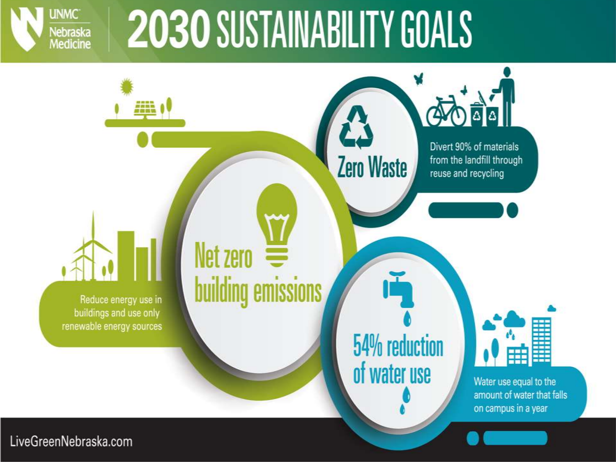

# 2030 SUSTAINABILITY GOALS



LiveGreenNebraska.com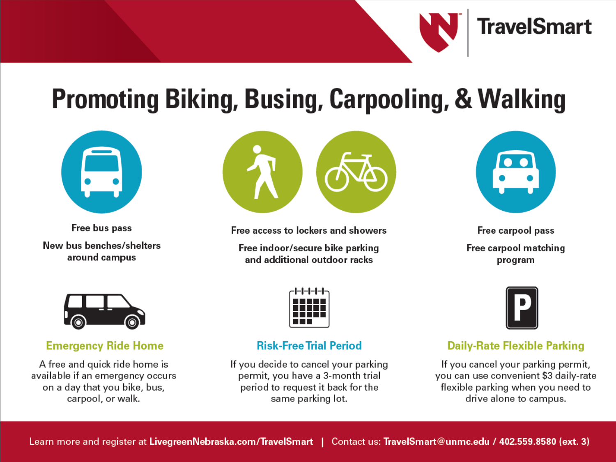

### **Promoting Biking, Busing, Carpooling, & Walking**



Free bus pass New bus benches/shelters around campus



Free access to lockers and showers

Free indoor/secure bike parking and additional outdoor racks



Free carpool pass Free carpool matching program



#### **Daily-Rate Flexible Parking**

If you cancel your parking permit, you can use convenient \$3 daily-rate flexible parking when you need to drive alone to campus.



**Emergency Ride Home** 

A free and quick ride home is available if an emergency occurs on a day that you bike, bus, carpool, or walk.



### **Risk-Free Trial Period**

If you decide to cancel your parking permit, you have a 3-month trial period to request it back for the same parking lot.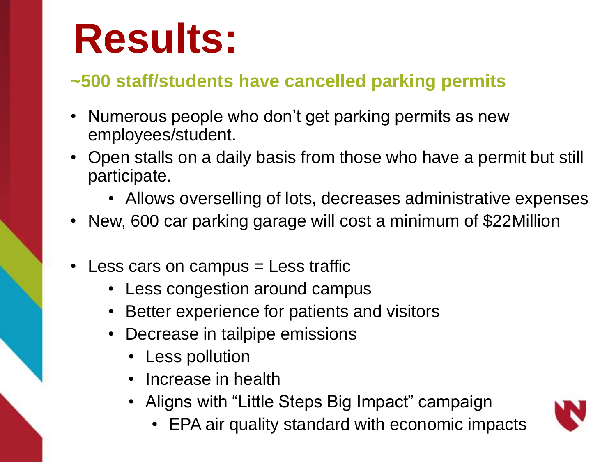# **Results:**

### **~500 staff/students have cancelled parking permits**

- Numerous people who don't get parking permits as new employees/student.
- Open stalls on a daily basis from those who have a permit but still participate.
	- Allows overselling of lots, decreases administrative expenses
- New, 600 car parking garage will cost a minimum of \$22Million
- Less cars on campus = Less traffic
	- Less congestion around campus
	- Better experience for patients and visitors
	- Decrease in tailpipe emissions
		- Less pollution
		- Increase in health
		- Aligns with "Little Steps Big Impact" campaign
			- EPA air quality standard with economic impacts

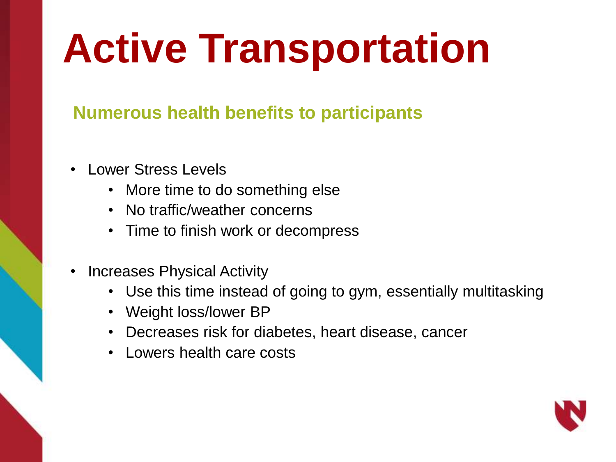# **Active Transportation**

### **Numerous health benefits to participants**

- Lower Stress Levels
	- More time to do something else
	- No traffic/weather concerns
	- Time to finish work or decompress
- Increases Physical Activity
	- Use this time instead of going to gym, essentially multitasking
	- Weight loss/lower BP
	- Decreases risk for diabetes, heart disease, cancer
	- Lowers health care costs

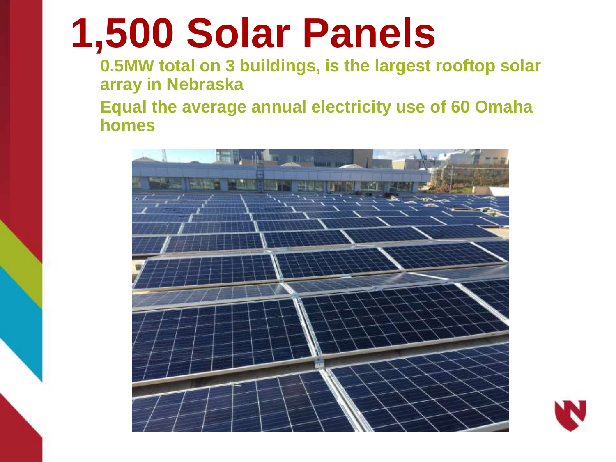# **1,500 Solar Panels**

**0.5MW total on 3 buildings, is the largest rooftop solar array in Nebraska**

**Equal the average annual electricity use of 60 Omaha homes**